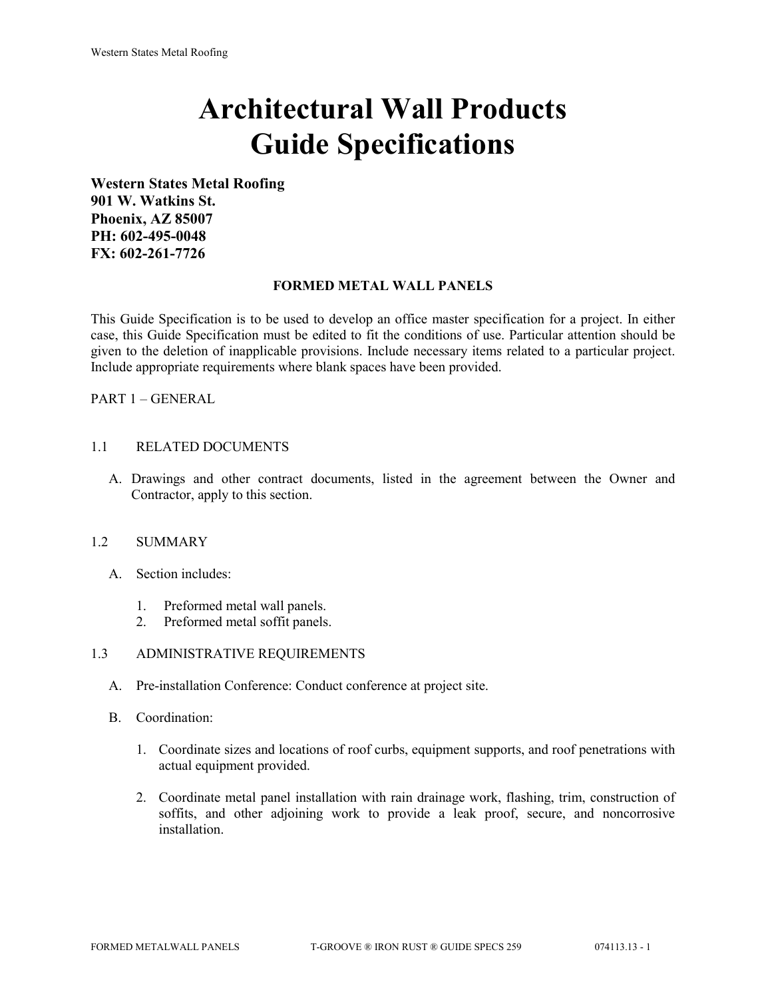# **Architectural Wall Products Guide Specifications**

**Western States Metal Roofing 901 W. Watkins St. Phoenix, AZ 85007 PH: 602-495-0048 FX: 602-261-7726**

## **FORMED METAL WALL PANELS**

This Guide Specification is to be used to develop an office master specification for a project. In either case, this Guide Specification must be edited to fit the conditions of use. Particular attention should be given to the deletion of inapplicable provisions. Include necessary items related to a particular project. Include appropriate requirements where blank spaces have been provided.

PART 1 – GENERAL

# 1.1 RELATED DOCUMENTS

A. Drawings and other contract documents, listed in the agreement between the Owner and Contractor, apply to this section.

#### 1.2 SUMMARY

- A. Section includes:
	- 1. Preformed metal wall panels.
	- 2. Preformed metal soffit panels.

## 1.3 ADMINISTRATIVE REQUIREMENTS

- A. Pre-installation Conference: Conduct conference at project site.
- B. Coordination:
	- 1. Coordinate sizes and locations of roof curbs, equipment supports, and roof penetrations with actual equipment provided.
	- 2. Coordinate metal panel installation with rain drainage work, flashing, trim, construction of soffits, and other adjoining work to provide a leak proof, secure, and noncorrosive installation.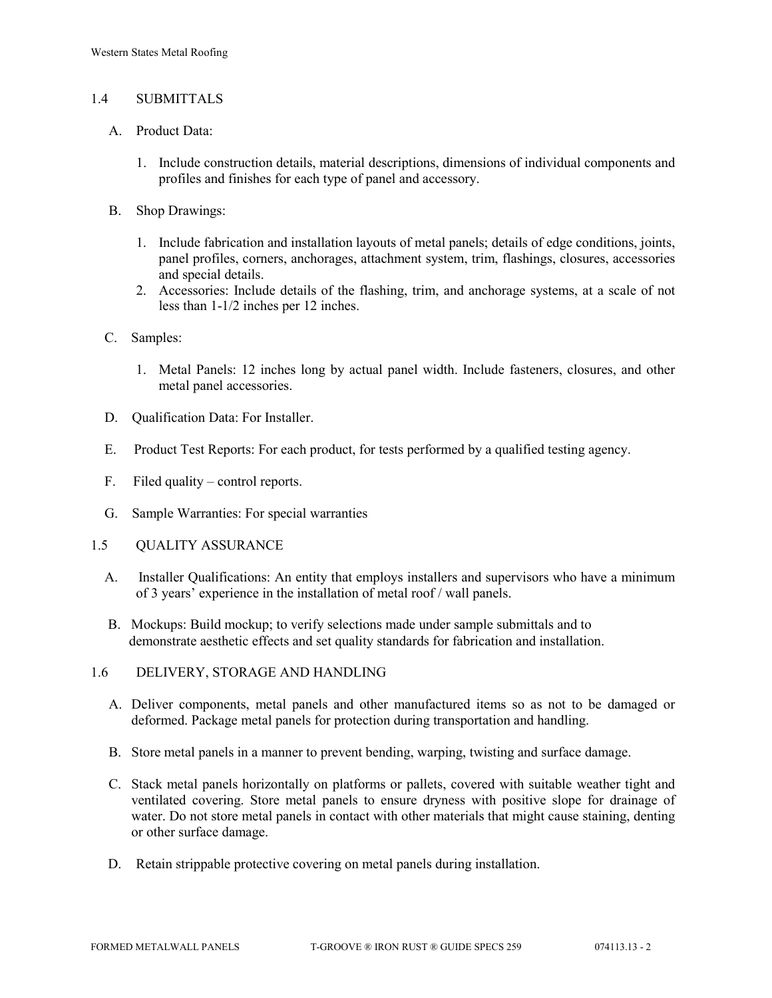## 1.4 SUBMITTALS

- A. Product Data:
	- 1. Include construction details, material descriptions, dimensions of individual components and profiles and finishes for each type of panel and accessory.
- B. Shop Drawings:
	- 1. Include fabrication and installation layouts of metal panels; details of edge conditions, joints, panel profiles, corners, anchorages, attachment system, trim, flashings, closures, accessories and special details.
	- 2. Accessories: Include details of the flashing, trim, and anchorage systems, at a scale of not less than 1-1/2 inches per 12 inches.
- C. Samples:
	- 1. Metal Panels: 12 inches long by actual panel width. Include fasteners, closures, and other metal panel accessories.
- D. Qualification Data: For Installer.
- E. Product Test Reports: For each product, for tests performed by a qualified testing agency.
- F. Filed quality control reports.
- G. Sample Warranties: For special warranties
- 1.5 QUALITY ASSURANCE
	- A. Installer Qualifications: An entity that employs installers and supervisors who have a minimum of 3 years' experience in the installation of metal roof / wall panels.
	- B. Mockups: Build mockup; to verify selections made under sample submittals and to demonstrate aesthetic effects and set quality standards for fabrication and installation.
- 1.6 DELIVERY, STORAGE AND HANDLING
	- A. Deliver components, metal panels and other manufactured items so as not to be damaged or deformed. Package metal panels for protection during transportation and handling.
	- B. Store metal panels in a manner to prevent bending, warping, twisting and surface damage.
	- C. Stack metal panels horizontally on platforms or pallets, covered with suitable weather tight and ventilated covering. Store metal panels to ensure dryness with positive slope for drainage of water. Do not store metal panels in contact with other materials that might cause staining, denting or other surface damage.
	- D. Retain strippable protective covering on metal panels during installation.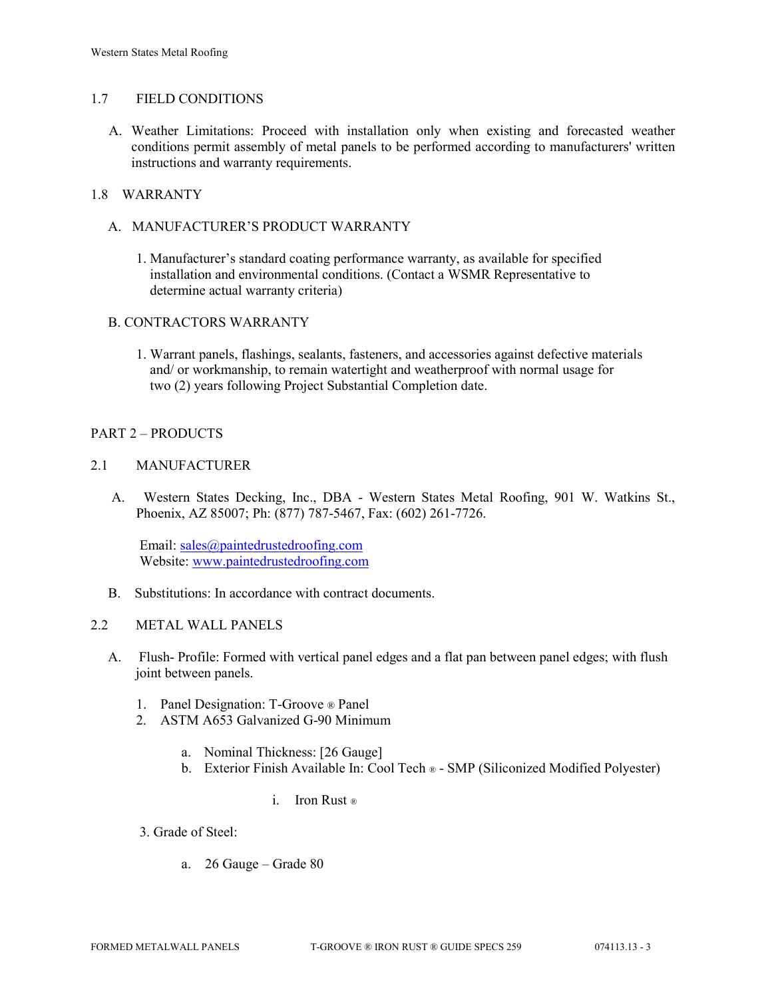## 1.7 FIELD CONDITIONS

A. Weather Limitations: Proceed with installation only when existing and forecasted weather conditions permit assembly of metal panels to be performed according to manufacturers' written instructions and warranty requirements.

## 1.8 WARRANTY

- A. MANUFACTURER'S PRODUCT WARRANTY
	- 1. Manufacturer's standard coating performance warranty, as available for specified installation and environmental conditions. (Contact a WSMR Representative to determine actual warranty criteria)

## B. CONTRACTORS WARRANTY

1. Warrant panels, flashings, sealants, fasteners, and accessories against defective materials and/ or workmanship, to remain watertight and weatherproof with normal usage for two (2) years following Project Substantial Completion date.

# PART 2 – PRODUCTS

# 2.1 MANUFACTURER

 A. Western States Decking, Inc., DBA - Western States Metal Roofing, 901 W. Watkins St., Phoenix, AZ 85007; Ph: (877) 787-5467, Fax: (602) 261-7726.

Email: [sales@paintedrustedroofing.com](mailto:sales@paintedrustedroofing.com) Website: [www.paintedrustedroofing.com](http://www.paintedrustedroofing.com/)

B. Substitutions: In accordance with contract documents.

# 2.2 METAL WALL PANELS

- A. Flush- Profile: Formed with vertical panel edges and a flat pan between panel edges; with flush joint between panels.
	- 1. Panel Designation: T-Groove ® Panel
	- 2. ASTM A653 Galvanized G-90 Minimum
		- a. Nominal Thickness: [26 Gauge]
		- b. Exterior Finish Available In: Cool Tech ® SMP (Siliconized Modified Polyester)

#### i. Iron Rust ®

3. Grade of Steel:

a. 26 Gauge – Grade 80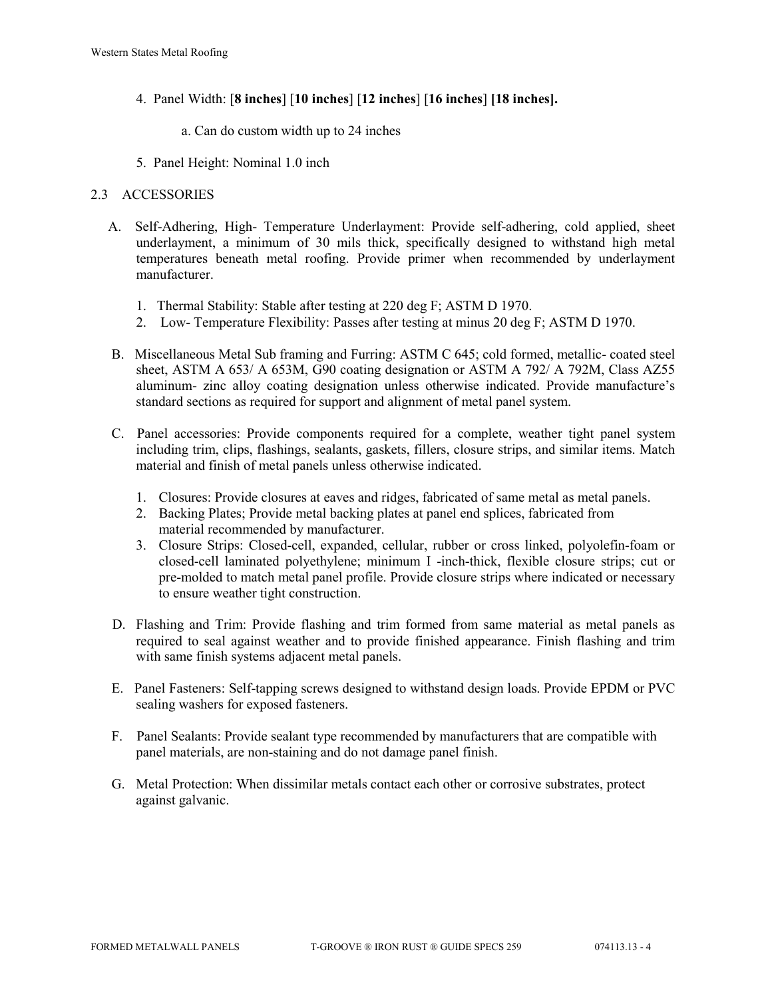- 4. Panel Width: [**8 inches**] [**10 inches**] [**12 inches**] [**16 inches**] **[18 inches].**
	- a. Can do custom width up to 24 inches
- 5. Panel Height: Nominal 1.0 inch

# 2.3 ACCESSORIES

- A. Self-Adhering, High- Temperature Underlayment: Provide self-adhering, cold applied, sheet underlayment, a minimum of 30 mils thick, specifically designed to withstand high metal temperatures beneath metal roofing. Provide primer when recommended by underlayment manufacturer.
	- 1. Thermal Stability: Stable after testing at 220 deg F; ASTM D 1970.
	- 2. Low- Temperature Flexibility: Passes after testing at minus 20 deg F; ASTM D 1970.
- B. Miscellaneous Metal Sub framing and Furring: ASTM C 645; cold formed, metallic- coated steel sheet, ASTM A 653/ A 653M, G90 coating designation or ASTM A 792/ A 792M, Class AZ55 aluminum- zinc alloy coating designation unless otherwise indicated. Provide manufacture's standard sections as required for support and alignment of metal panel system.
- C. Panel accessories: Provide components required for a complete, weather tight panel system including trim, clips, flashings, sealants, gaskets, fillers, closure strips, and similar items. Match material and finish of metal panels unless otherwise indicated.
	- 1. Closures: Provide closures at eaves and ridges, fabricated of same metal as metal panels.
	- 2. Backing Plates; Provide metal backing plates at panel end splices, fabricated from material recommended by manufacturer.
	- 3. Closure Strips: Closed-cell, expanded, cellular, rubber or cross linked, polyolefin-foam or closed-cell laminated polyethylene; minimum I -inch-thick, flexible closure strips; cut or pre-molded to match metal panel profile. Provide closure strips where indicated or necessary to ensure weather tight construction.
- D. Flashing and Trim: Provide flashing and trim formed from same material as metal panels as required to seal against weather and to provide finished appearance. Finish flashing and trim with same finish systems adjacent metal panels.
- E. Panel Fasteners: Self-tapping screws designed to withstand design loads. Provide EPDM or PVC sealing washers for exposed fasteners.
- F. Panel Sealants: Provide sealant type recommended by manufacturers that are compatible with panel materials, are non-staining and do not damage panel finish.
- G. Metal Protection: When dissimilar metals contact each other or corrosive substrates, protect against galvanic.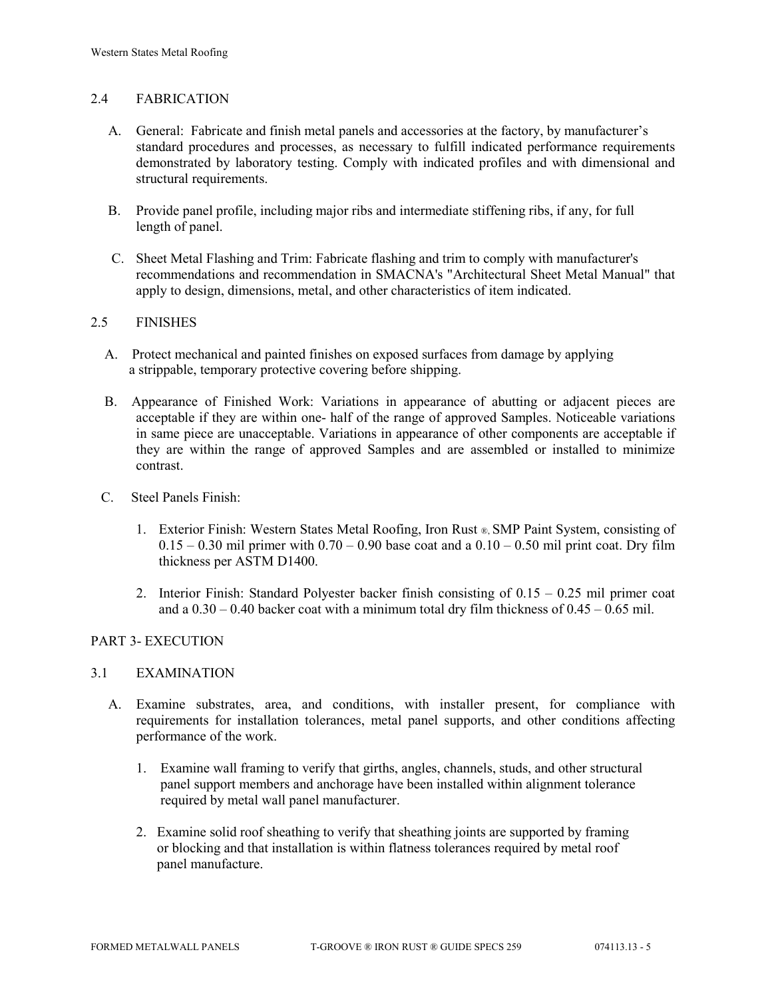# 2.4 FABRICATION

- A. General: Fabricate and finish metal panels and accessories at the factory, by manufacturer's standard procedures and processes, as necessary to fulfill indicated performance requirements demonstrated by laboratory testing. Comply with indicated profiles and with dimensional and structural requirements.
- B. Provide panel profile, including major ribs and intermediate stiffening ribs, if any, for full length of panel.
- C. Sheet Metal Flashing and Trim: Fabricate flashing and trim to comply with manufacturer's recommendations and recommendation in SMACNA's "Architectural Sheet Metal Manual" that apply to design, dimensions, metal, and other characteristics of item indicated.

## 2.5 FINISHES

- A. Protect mechanical and painted finishes on exposed surfaces from damage by applying a strippable, temporary protective covering before shipping.
- B. Appearance of Finished Work: Variations in appearance of abutting or adjacent pieces are acceptable if they are within one- half of the range of approved Samples. Noticeable variations in same piece are unacceptable. Variations in appearance of other components are acceptable if they are within the range of approved Samples and are assembled or installed to minimize contrast.
- C. Steel Panels Finish:
	- 1. Exterior Finish: Western States Metal Roofing, Iron Rust ®, SMP Paint System, consisting of  $0.15 - 0.30$  mil primer with  $0.70 - 0.90$  base coat and a  $0.10 - 0.50$  mil print coat. Dry film thickness per ASTM D1400.
	- 2. Interior Finish: Standard Polyester backer finish consisting of 0.15 0.25 mil primer coat and a  $0.30 - 0.40$  backer coat with a minimum total dry film thickness of  $0.45 - 0.65$  mil.

# PART 3- EXECUTION

#### 3.1 EXAMINATION

- A. Examine substrates, area, and conditions, with installer present, for compliance with requirements for installation tolerances, metal panel supports, and other conditions affecting performance of the work.
	- 1. Examine wall framing to verify that girths, angles, channels, studs, and other structural panel support members and anchorage have been installed within alignment tolerance required by metal wall panel manufacturer.
	- 2. Examine solid roof sheathing to verify that sheathing joints are supported by framing or blocking and that installation is within flatness tolerances required by metal roof panel manufacture.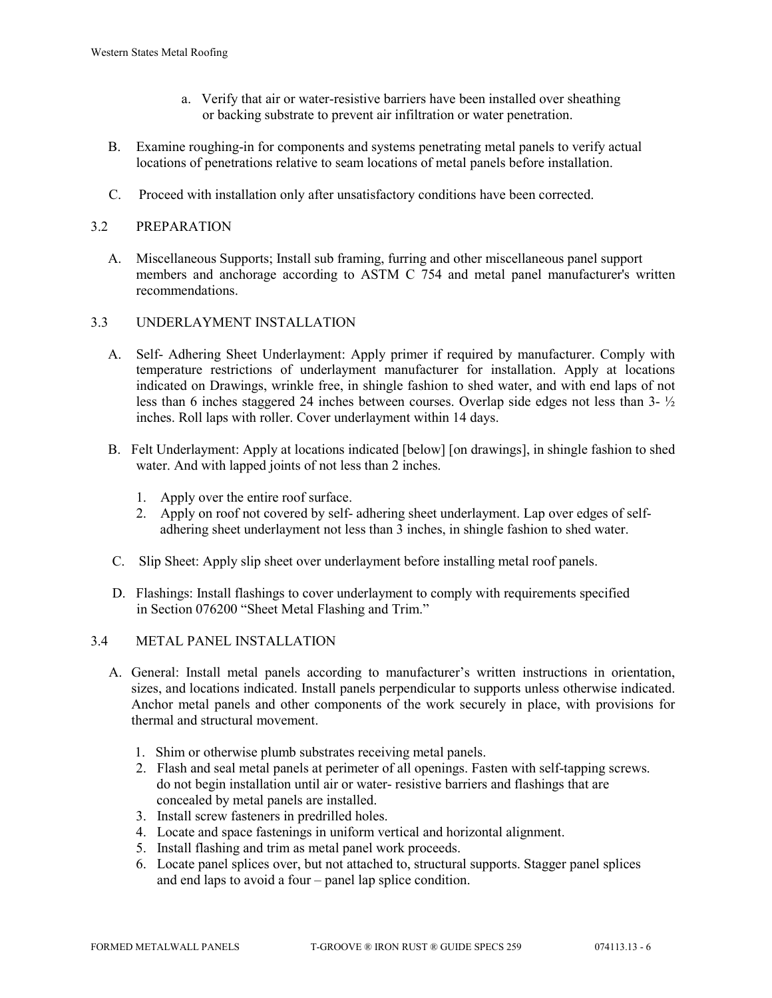- a. Verify that air or water-resistive barriers have been installed over sheathing or backing substrate to prevent air infiltration or water penetration.
- B. Examine roughing-in for components and systems penetrating metal panels to verify actual locations of penetrations relative to seam locations of metal panels before installation.
- C. Proceed with installation only after unsatisfactory conditions have been corrected.

# 3.2 PREPARATION

 A. Miscellaneous Supports; Install sub framing, furring and other miscellaneous panel support members and anchorage according to ASTM C 754 and metal panel manufacturer's written recommendations.

## 3.3 UNDERLAYMENT INSTALLATION

- A. Self- Adhering Sheet Underlayment: Apply primer if required by manufacturer. Comply with temperature restrictions of underlayment manufacturer for installation. Apply at locations indicated on Drawings, wrinkle free, in shingle fashion to shed water, and with end laps of not less than 6 inches staggered 24 inches between courses. Overlap side edges not less than 3- ½ inches. Roll laps with roller. Cover underlayment within 14 days.
- B. Felt Underlayment: Apply at locations indicated [below] [on drawings], in shingle fashion to shed water. And with lapped joints of not less than 2 inches.
	- 1. Apply over the entire roof surface.
	- 2. Apply on roof not covered by self- adhering sheet underlayment. Lap over edges of self adhering sheet underlayment not less than 3 inches, in shingle fashion to shed water.
- C. Slip Sheet: Apply slip sheet over underlayment before installing metal roof panels.
- D. Flashings: Install flashings to cover underlayment to comply with requirements specified in Section 076200 "Sheet Metal Flashing and Trim."

## 3.4 METAL PANEL INSTALLATION

- A. General: Install metal panels according to manufacturer's written instructions in orientation, sizes, and locations indicated. Install panels perpendicular to supports unless otherwise indicated. Anchor metal panels and other components of the work securely in place, with provisions for thermal and structural movement.
	- 1. Shim or otherwise plumb substrates receiving metal panels.
	- 2. Flash and seal metal panels at perimeter of all openings. Fasten with self-tapping screws. do not begin installation until air or water- resistive barriers and flashings that are concealed by metal panels are installed.
	- 3. Install screw fasteners in predrilled holes.
	- 4. Locate and space fastenings in uniform vertical and horizontal alignment.
	- 5. Install flashing and trim as metal panel work proceeds.
	- 6. Locate panel splices over, but not attached to, structural supports. Stagger panel splices and end laps to avoid a four – panel lap splice condition.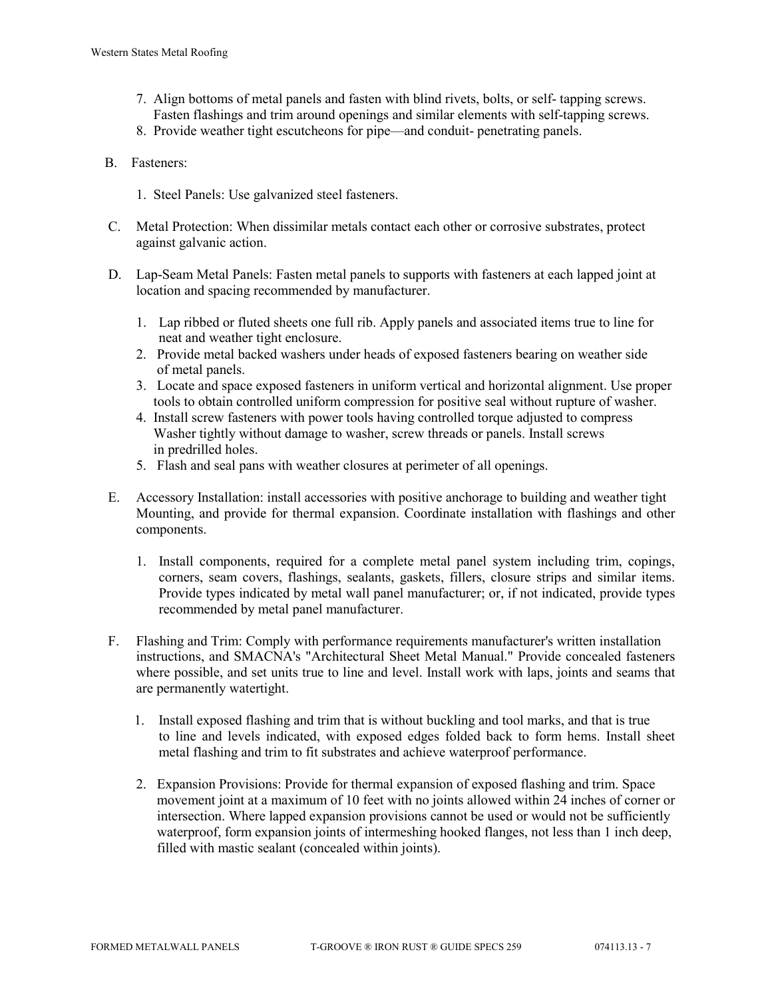- 7. Align bottoms of metal panels and fasten with blind rivets, bolts, or self- tapping screws. Fasten flashings and trim around openings and similar elements with self-tapping screws.
- 8. Provide weather tight escutcheons for pipe—and conduit- penetrating panels.
- B. Fasteners:
	- 1. Steel Panels: Use galvanized steel fasteners.
- C. Metal Protection: When dissimilar metals contact each other or corrosive substrates, protect against galvanic action.
- D. Lap-Seam Metal Panels: Fasten metal panels to supports with fasteners at each lapped joint at location and spacing recommended by manufacturer.
	- 1. Lap ribbed or fluted sheets one full rib. Apply panels and associated items true to line for neat and weather tight enclosure.
	- 2. Provide metal backed washers under heads of exposed fasteners bearing on weather side of metal panels.
	- 3. Locate and space exposed fasteners in uniform vertical and horizontal alignment. Use proper tools to obtain controlled uniform compression for positive seal without rupture of washer.
	- 4. Install screw fasteners with power tools having controlled torque adjusted to compress Washer tightly without damage to washer, screw threads or panels. Install screws in predrilled holes.
	- 5. Flash and seal pans with weather closures at perimeter of all openings.
- E. Accessory Installation: install accessories with positive anchorage to building and weather tight Mounting, and provide for thermal expansion. Coordinate installation with flashings and other components.
	- 1. Install components, required for a complete metal panel system including trim, copings, corners, seam covers, flashings, sealants, gaskets, fillers, closure strips and similar items. Provide types indicated by metal wall panel manufacturer; or, if not indicated, provide types recommended by metal panel manufacturer.
- F. Flashing and Trim: Comply with performance requirements manufacturer's written installation instructions, and SMACNA's "Architectural Sheet Metal Manual." Provide concealed fasteners where possible, and set units true to line and level. Install work with laps, joints and seams that are permanently watertight.
	- 1. Install exposed flashing and trim that is without buckling and tool marks, and that is true to line and levels indicated, with exposed edges folded back to form hems. Install sheet metal flashing and trim to fit substrates and achieve waterproof performance.
	- 2. Expansion Provisions: Provide for thermal expansion of exposed flashing and trim. Space movement joint at a maximum of 10 feet with no joints allowed within 24 inches of corner or intersection. Where lapped expansion provisions cannot be used or would not be sufficiently waterproof, form expansion joints of intermeshing hooked flanges, not less than 1 inch deep, filled with mastic sealant (concealed within joints).